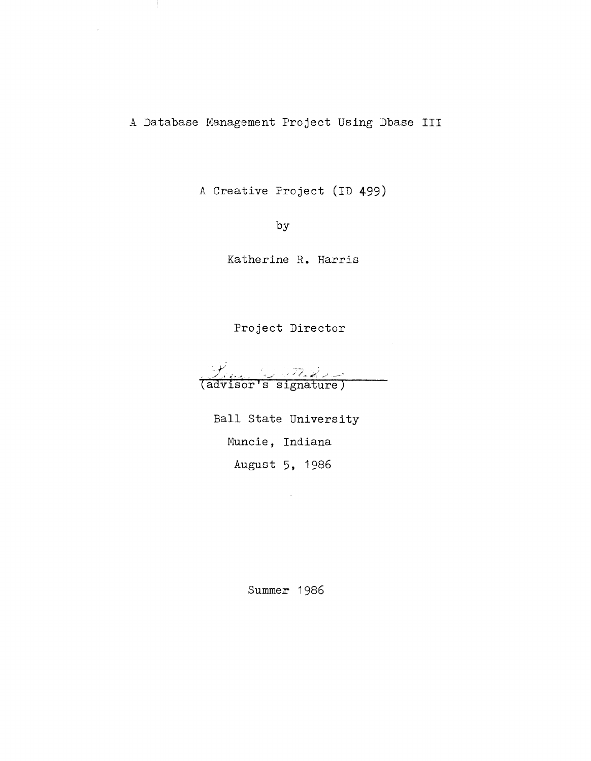A Database Management Project Using Dbase III

÷

A Creative Project (ID 499)

by

Katherine R. Harris

Project Director

(advisor's signature)

Ball State University Muncie, Indiana August 5, 1986

Summer 1986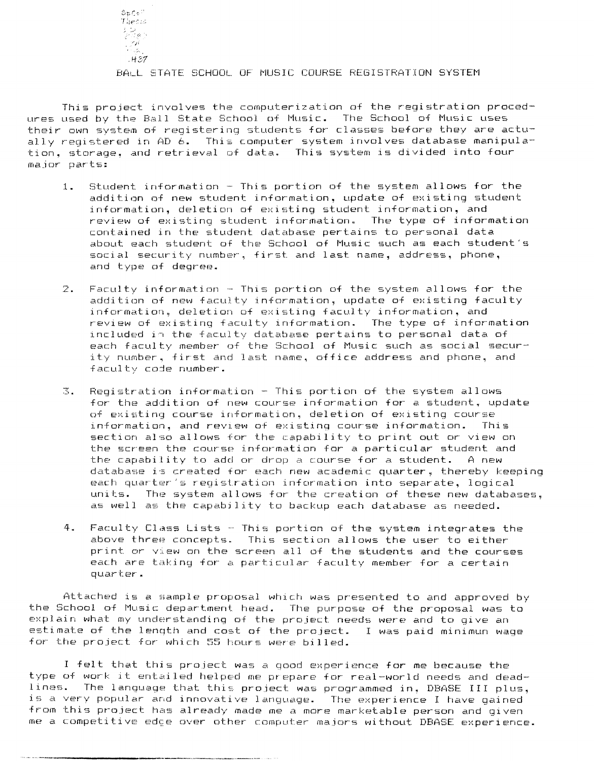$SpCo^{\frac{1}{2}}$ -r *;:p-:*  : (2)<br>: (1)<br>: (1)  $:H.37$ 

## BALL STATE SCHOOL OF MUSIC COURSE REGISTRATION SYSTEM

This project involves the computerization of the registration procedures used by the Ball State School of Music. The School of Music uses their own system of registering students for classes before they are actually registered in AD  $\ddot{6}$ . This computer system involves database manipulation, storage, and retrieval of data. This system is divided into four major- paF-ts:

- 1. Student information This portion of the system allows for the addition of new student information, update of existing student information, deletion of existing student information, and review of existing student information. The type of information contained in the student database pertains to personal data about each student of the School of Music such as each student's social security number, first and last name, address, phone, and type of degree.
- 2. Faculty information This portion of the system allows for the addition of new faculty information, update of existing faculty information, deletion of existing faculty information, and review of existing faculty information. The type of information included in the faculty database pertains to personal data of each faculty member of the School of Music such as social security number. first and last name, office address and phone, and faculty code number.
- 3. Registration information This portion of the system allows for the addition of new course information for a student. update of existing course information, deletion of existing course information, and reVlew of existing course information. This section also allows for the capability to print out or view on the screen the course information for a particular student and the capability to add or drop a course for a student. A new database is created for each new academic quarter, thereby keeping each quarter's registration information into separate, logical units. The system allows for the creation of these new databases, as well as the capabjlity to backup each database as needed.
- 4. Faculty Class Lists This portion of the system integrates the above three concepts. This section allows the user to either print or View on the screen all of the students and the courses each are taking for a particular faculty member for a certain quarter.

Attached is a sample proposal which was presented to and approved by the School of Music department head. The purpose of the proposal was to explain what. my understanding of the project needs were and to give an estimate of the length and cost of the project. I was paid minimun wage for the project for which 55 hours were billed.

I felt that this project was a good experience for me because the type of work it entailed helped me prepare for real-world needs and deadlines. The language that this project was programmed in. DBASE III plus, is a very popular and innovative language. The experience I have gained from this project has already made me a more marketable person and given me a competitive edge over other computer majors without DBASE experience.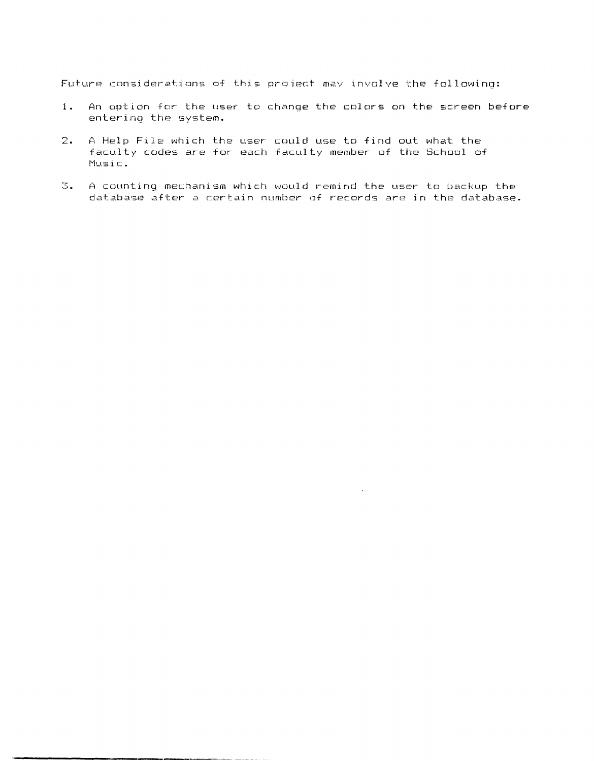Future considerations of this project may involve the following:

- 1. An option for the user to change the colors on the screen before entering the system.
- 2. A Help File which the user could use to find out what the facultv codes are for each faculty member of the School of l'1usic.

**. \_---------------\_.\_.** \_.\_ ....

3. A counting mechanism which would remind the user to backup the database after a certain number of records are in the database .

 $\ddot{\phantom{a}}$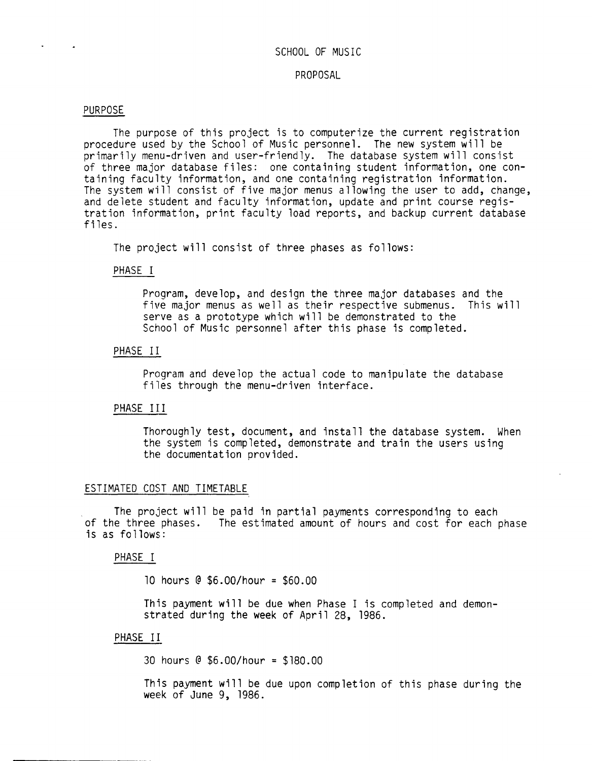## SCHOOL OF MUSIC

#### PROPOSAL

#### PURPOSE

The purpose of this project is to computerize the current registration procedure used by the School of Music personnel. The new system will be primarily menu-driven and user-friendly. The database system will consist of three major database files: one containing student information, one containing faculty information, and one containing registration information. The system will consist of five major menus allowing the user to add, change, and delete student and faculty information, update and print course registration information, print faculty load reports, and backup current database files.

The project will consist of three phases as follows:

#### PHASE I

Program, develop, and design the three major databases and the five major menus as well as their respective submenus. This will serve as a prototype which will be demonstrated to the School of Music personnel after this phase is completed.

## PHASE II

Program and develop the actual code to manipulate the database files through the menu-driven interface.

## PHASE III

Thoroughly test, document, and install the database system. When the system is completed, demonstrate and train the users using the documentation provided.

## ESTIMATED COST AND TIMETABLE

The project will be paid in partial payments corresponding to each of the three phases. The estimated amount of hours and cost for each phase is as follows:

## PHASE I

10 hours @ \$6.00/hour = \$60.00

This payment will be due when Phase I is completed and demonstrated during the week of April 28, 1986.

## PHASE II

30 hours @ \$6.00/hour = \$180.00

This payment will be due upon completion of this phase during the week of June 9, 1986.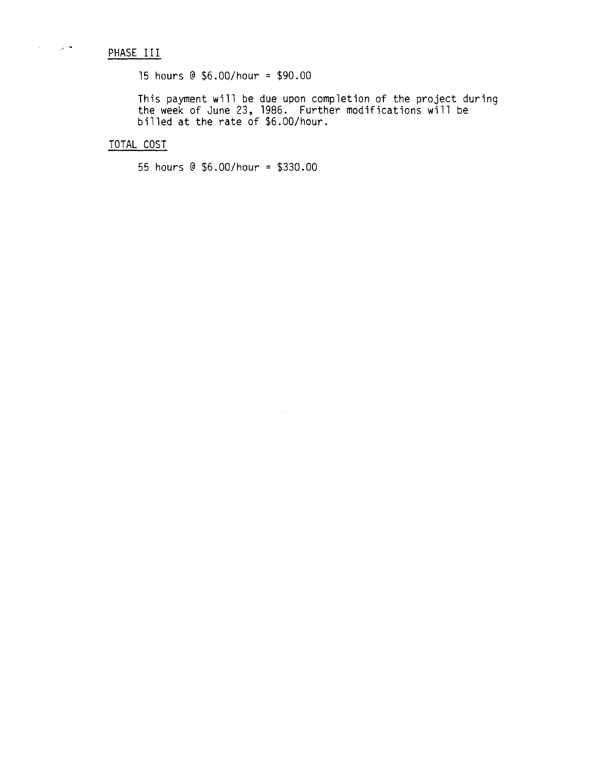# PHASE III

 $\lambda_{\rm{max}}$  and  $\lambda_{\rm{max}}$ 

15 hours @ \$6.00/hour = \$90.00

This payment will be due upon completion of the project during the week of June 23, 1986. Further modifications will be billed at the rate of \$6.00/hour.

 $\bar{\mathcal{A}}$ 

TOTAL COST

55 hours @ \$6.00/hour = \$330.00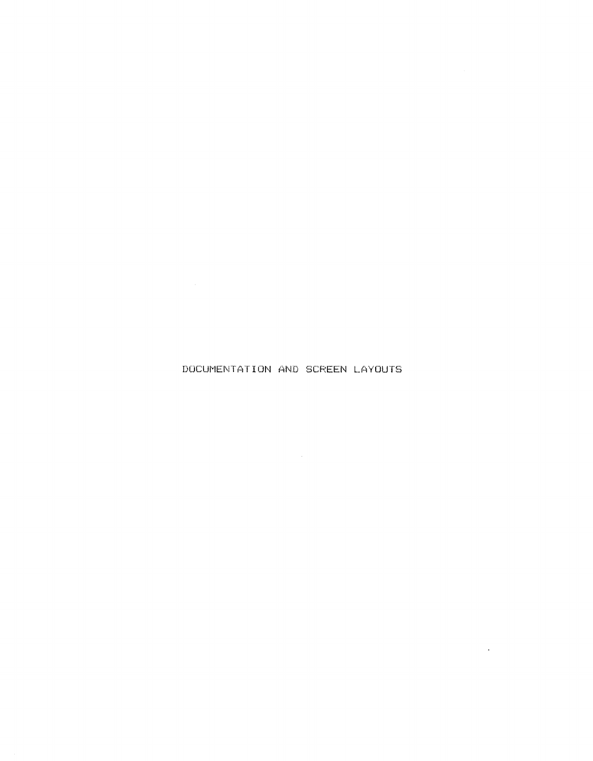DOCUMENTATION AND SCREEN LAYOUTS

 $\mathcal{A}$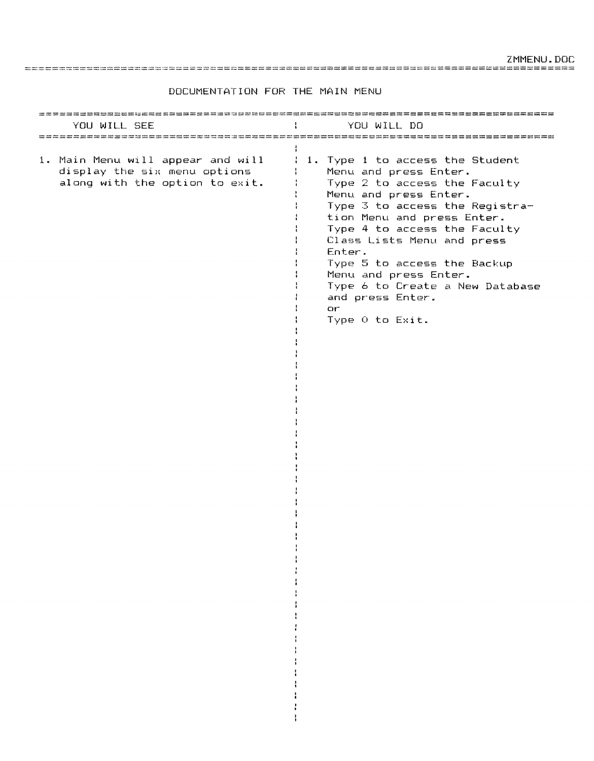ZMMENU. DOC

================================================================================

DOCUMENTATION FOR THE MAIN MENU

| YOU WILL SEE                                                                                        | YOU WILL DO                                                                                                                                                                                                                                                                                                                                                                                       |
|-----------------------------------------------------------------------------------------------------|---------------------------------------------------------------------------------------------------------------------------------------------------------------------------------------------------------------------------------------------------------------------------------------------------------------------------------------------------------------------------------------------------|
| 1. Main Menu will appear and will<br>display the six menu options<br>along with the option to exit. | 1. Type 1 to access the Student<br>Menu and press Enter.<br>Type 2 to access the Faculty<br>Menu and press Enter.<br>Type 3 to access the Registra-<br>tion Menu and press Enter.<br>Type 4 to access the Faculty<br>Class Lists Menu and press<br>Enter.<br>Type 5 to access the Backup<br>Menu and press Enter.<br>Type 6 to Create a New Database<br>and press Enter.<br>or<br>Type O to Exit. |

 $\frac{1}{4}$  $\frac{1}{4}$  $\frac{1}{2}$  $\frac{1}{4}$  $\frac{1}{4}$  $\frac{1}{4}$  $\cdot$ ÷ ÷ ÷  $\cdot$  $\frac{1}{4}$  $\mathbf{I}$  $\mathbf{I}$  $\mathbf{I}$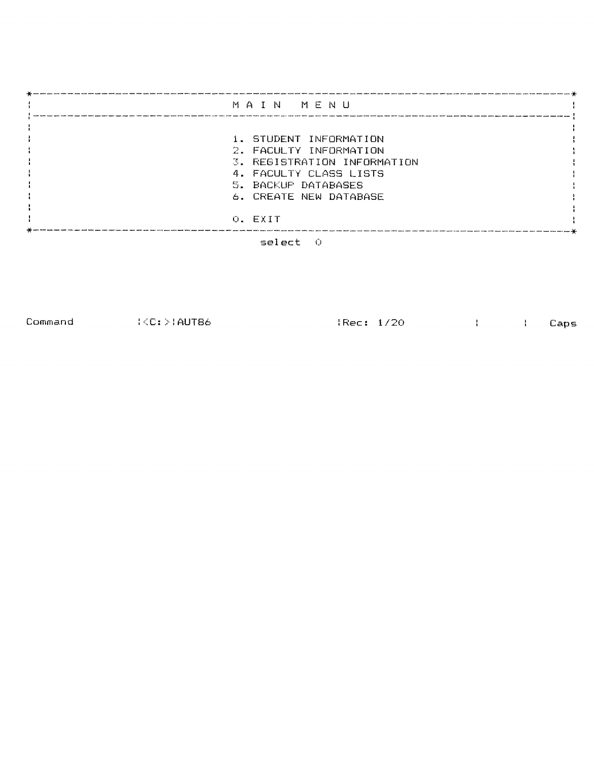| MAIN MENU                   |
|-----------------------------|
|                             |
|                             |
| 1. STUDENT INFORMATION      |
| 2. FACULTY INFORMATION      |
| 3. REGISTRATION INFORMATION |
| 4. FACULTY CLASS LISTS      |
| 5. BACKUP DATABASES         |
| 6. CREATE NEW DATABASE      |
|                             |
| O. EXIT                     |
|                             |



Command : <C: :>: AUT86 : Rec: 1/20 Caps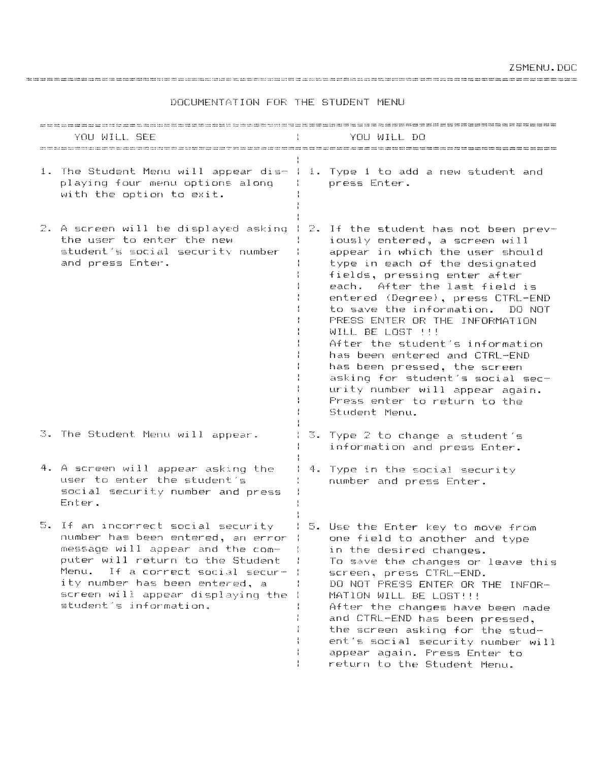| YOU WILL SEE                                                                                                                                                                                                                                                                              |       | YOU WILL DO                                                                                                                                                                                                                                                                                                                                                                                                                                                                                                                                                          |
|-------------------------------------------------------------------------------------------------------------------------------------------------------------------------------------------------------------------------------------------------------------------------------------------|-------|----------------------------------------------------------------------------------------------------------------------------------------------------------------------------------------------------------------------------------------------------------------------------------------------------------------------------------------------------------------------------------------------------------------------------------------------------------------------------------------------------------------------------------------------------------------------|
| 1. The Student Menu will appear dis- 1 1. Type 1 to add a new student and<br>playing four menu options along<br>with the option to exit.                                                                                                                                                  |       | press Enter.                                                                                                                                                                                                                                                                                                                                                                                                                                                                                                                                                         |
| 2. A screen will be displayed asking<br>the user to enter the new<br>student's social security number<br>and press Enter.                                                                                                                                                                 | -24 - | If the student has not been prev-<br>iously entered, a screen will<br>appear in which the user should<br>type in each of the designated<br>fields, pressing enter after<br>each. After the last field is<br>entered (Degree), press CTRL-END<br>to save the information.<br>DO NOT<br>PRESS ENTER OR THE INFORMATION<br>WILL BE LOST !!!<br>After the student's information<br>has been entered and CTRL-END<br>has been pressed, the screen<br>asking for student's social sec-<br>urity number will appear again.<br>Press enter to return to the<br>Student Menu. |
| 3. The Student Menu will appear.                                                                                                                                                                                                                                                          |       | $\mathbb{S}$ . Type 2 to change a student's<br>information and press Enter.                                                                                                                                                                                                                                                                                                                                                                                                                                                                                          |
| 4. A screen will appear asking the<br>user to enter the student's<br>social security number and press<br>Enter.                                                                                                                                                                           |       | 4. Type in the social security<br>number and press Enter.                                                                                                                                                                                                                                                                                                                                                                                                                                                                                                            |
| 5. If an incorrect social security<br>number has been entered, an error (<br>message will appear and the com-<br>puter will return to the Student<br>Menu.<br>If a correct social secur-<br>ity number has been entered, a<br>screen will appear displaying the<br>student's information. |       | I 5. Use the Enter key to move from<br>one field to another and type<br>in the desired changes.<br>To save the changes or leave this<br>screen, press CTRL-END.<br>DO NOT PRESS ENTER OR THE INFOR-<br>MATION WILL BE LOST!!!<br>After the changes have been made<br>and CTRL-END has been pressed.<br>the screen asking for the stud-<br>ent's social security number will<br>appear again. Fress Enter to<br>return to the Student Menu.                                                                                                                           |

## DOCUMENTATION FOR THE STUDENT MENU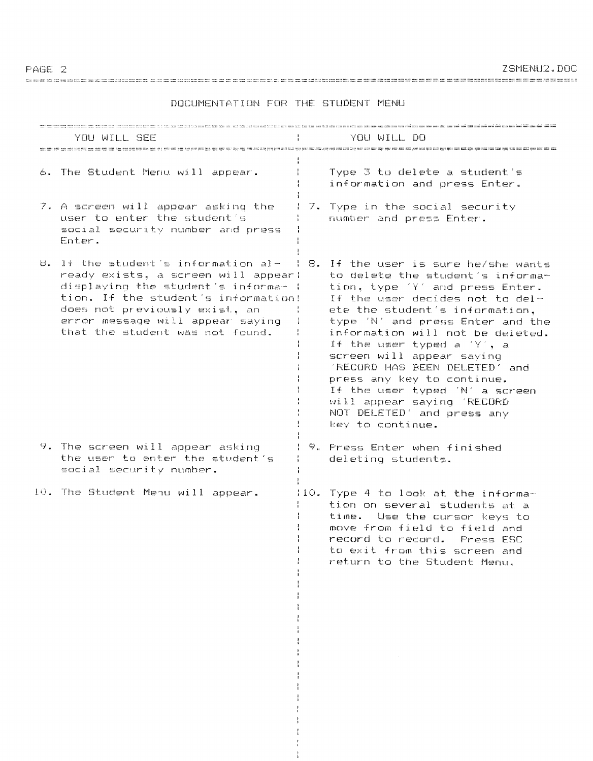**7SMENH2.DOC** 

YOU WILL SEE **Example 11 YOU WILL DO** 6. The Student Menu will appear. Type 3 to delete a student's information and press Enter. 7. A screen will appear asking the 1 7. Type in the social security user to enter the student's number and press Enter. social security number and press Enter. 8. If the student's information al- | 8. If the user is sure he/she wants ready exists. a screen will appear! to delete the student's informadisplaying the student's informat ( tion, type 'Y' and press Enter. tion. If the student's information! If the user decides not to delete the student's information. does not previously exist, an all the error message will appear saving type 'N' and press Enter and the ÷ that the student was not found. information will not be deleted. If the user typed a  $YY$ , a<br>screen will appear saying **TRECORD HAS BEEN DELETED** and press any key to continue. If the user typed 'N' a screen will appear saying 'RECORD NOT DELETED' and press any key to continue. 9. The screen will appear asking 1 9. Press Enter when finished the user to enter the student's deleting students. social security number. 10. The Student Menu will appear. 110. Type 4 to look at the information on several students at a time. Use the cursor keys to move from field to field and ł record to record. Press ESC to exit from this screen and return to the Student Menu.

#### DOCUMENTATION FOR THE STUDENT MENU

PAGE 2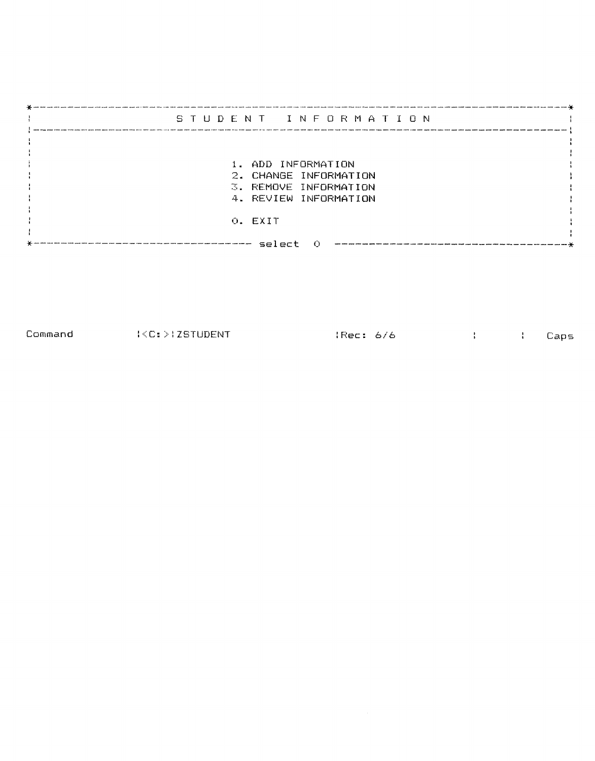| STUDENT INFORMATION                            |  |
|------------------------------------------------|--|
|                                                |  |
| 1. ADD INFORMATION                             |  |
| 2. CHANGE INFORMATION<br>3. REMOVE INFORMATION |  |
| 4. REVIEW INFORMATION                          |  |
| O. EXIT                                        |  |
| select                                         |  |

Command :<C:>lZSTUDENT lRec: *6/6* Caps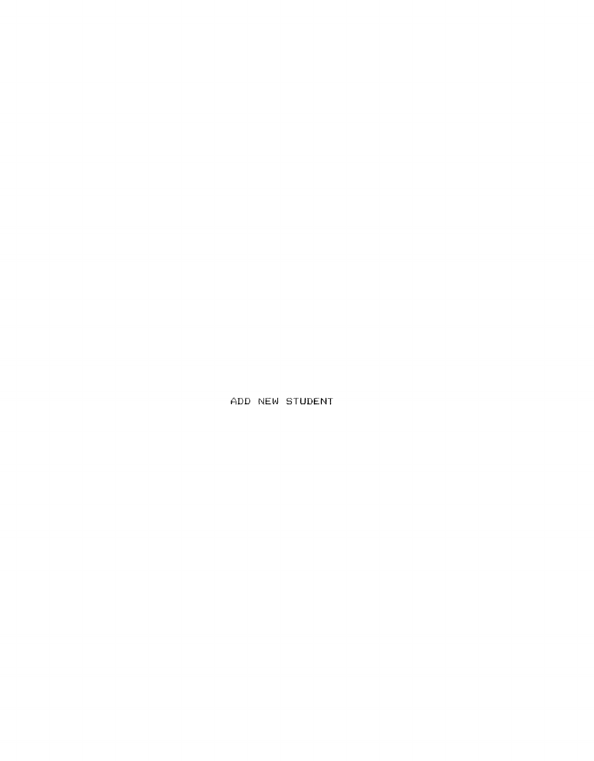ADD NEW STUDENT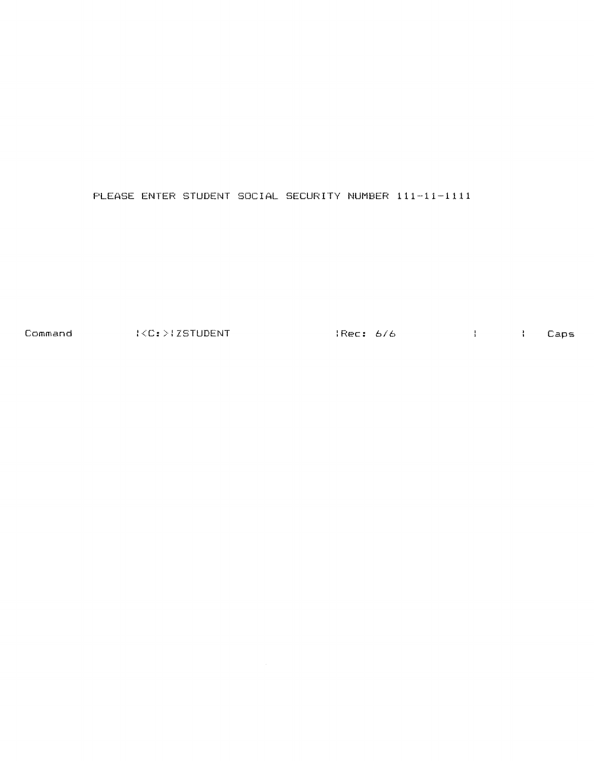PLEASE ENTER STUDENT SOCIAL SECURITY NUMBER 111-11-1111

Command : {C:>{ZSTUDENT :: } {Rec: *6/6* } {Caps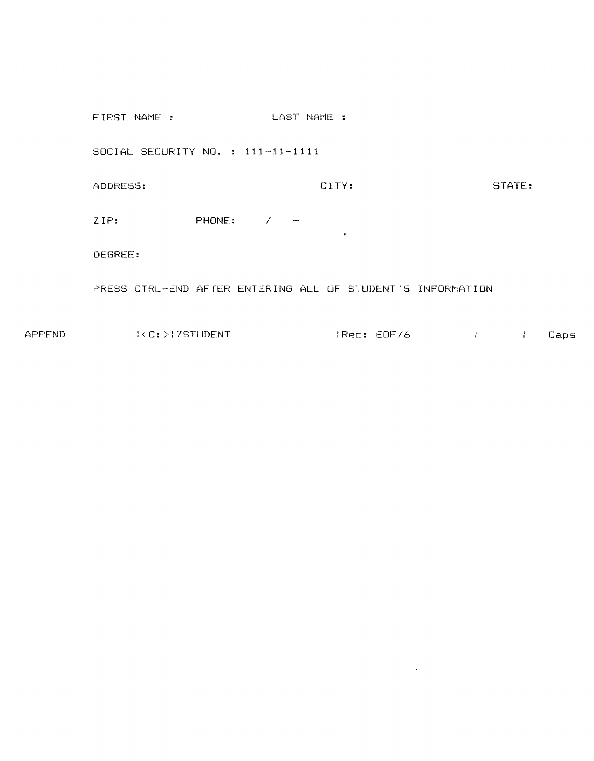FIRST NAME : LAST NAME : SOCIAL SECURITY **NO.** 111-11-1111 ADDRESS: CITY: STATE: ZIP: PHONE: /  $\bullet$  . DEGREE: PRESS CTRL-END AFTER ENTERING ALL OF STUDENT'S INFORMATION

APPEND :<C:>:ZSTUDENT :Rec: EOF/6 Caps

 $\sim 10^{-11}$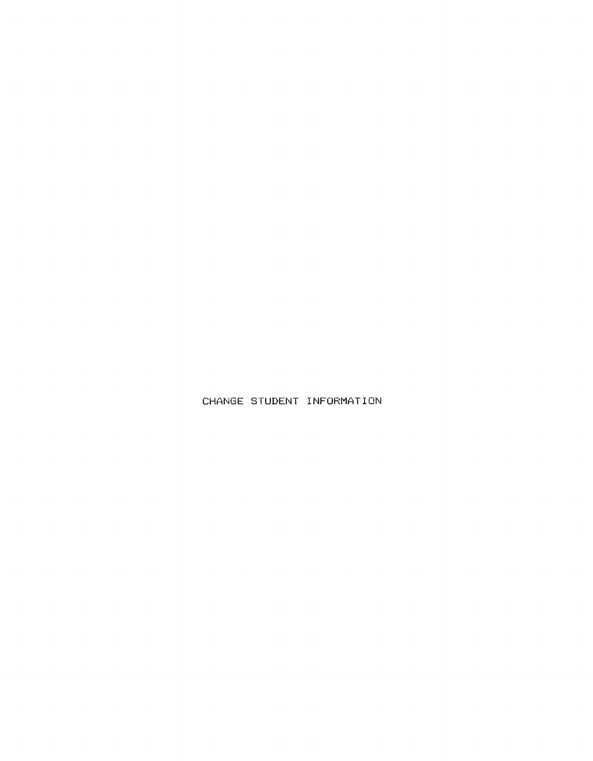CHANGE STUDENT INFORMATION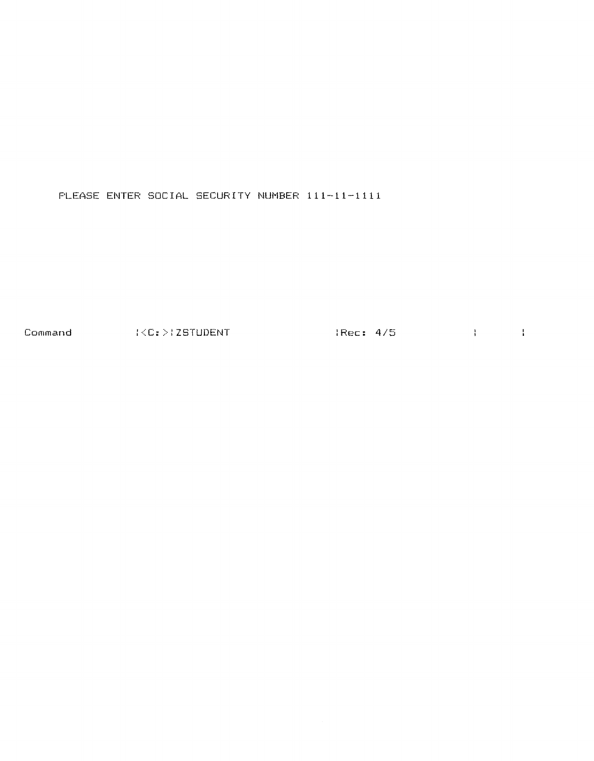PLEASE ENTER SOCIAL SECURITY NUMBER 111-11-1111

Command (<C:>(ZSTUDENT ) {Rec: 4/5 }}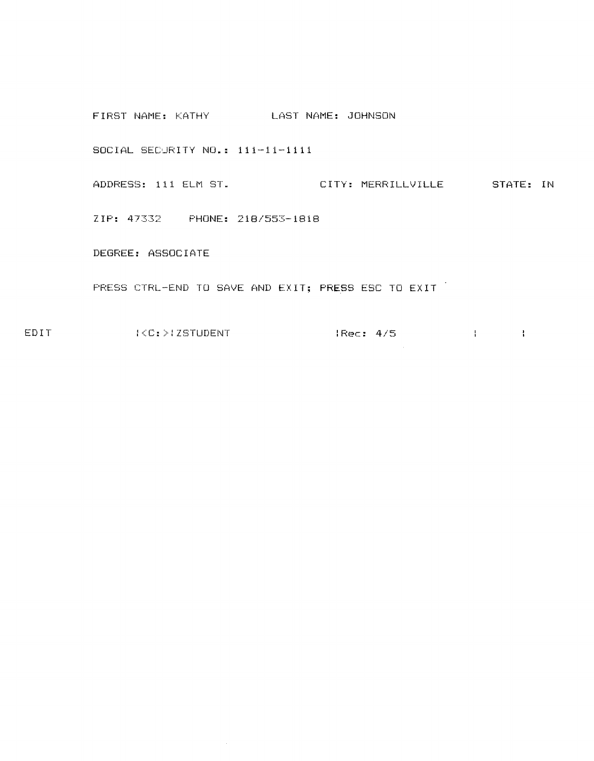FIRST NAME: KATHY LAST NAME: JOHNSON SOCIAL SECURITY NO.: 111-11-1111 ADDRESS: 111 ELM ST. CITY: MERRILLVILLE STATE: IN ZIP: 47332 PHONE: *218/553-1818*  DEGREE: ASSOCIATE PRESS CTRL-END TO SAVE AND EXIT; PRESS ESC TO EXIT

 $\Delta \sim 1$ 

EDIT :<C:>/ZSTUDENT :Rec: *4/5*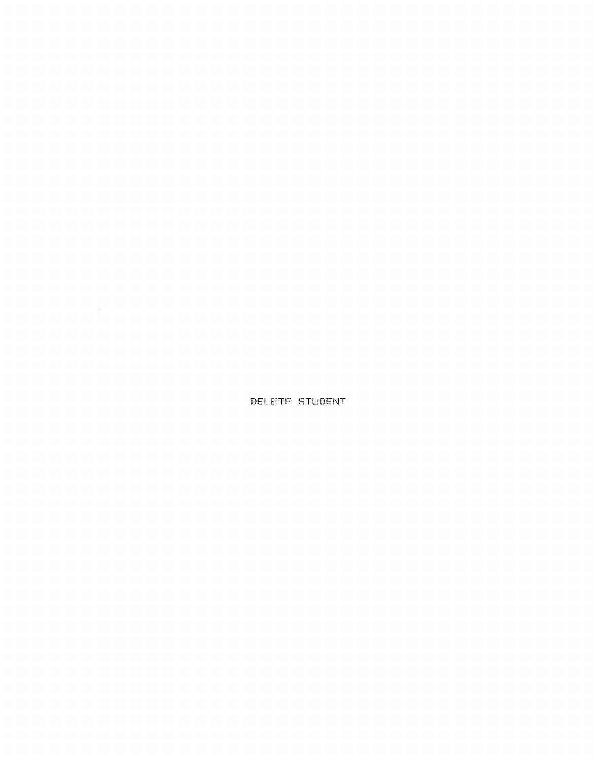DELETE STUDENT

 $\mathcal{L}^{\text{max}}_{\text{max}}$  and  $\mathcal{L}^{\text{max}}_{\text{max}}$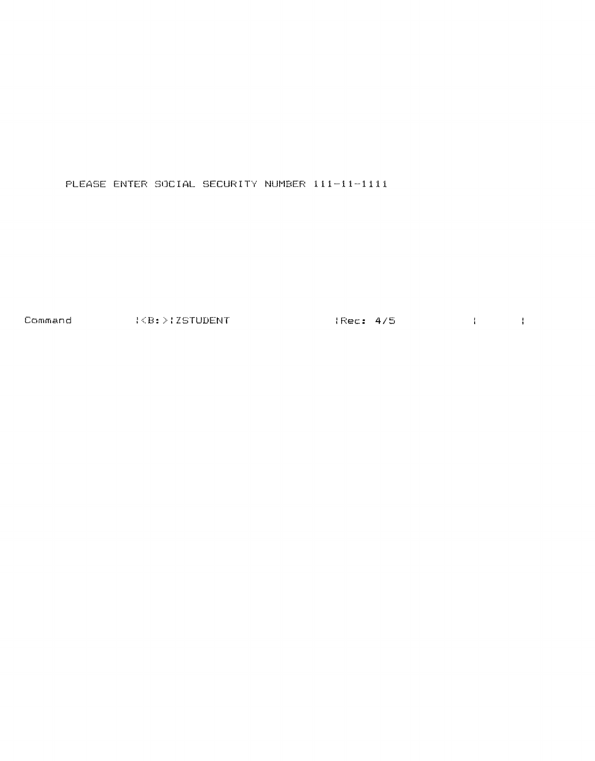PLEASE ENTER SOCIAL SECURITY NUMBER 111-11-1111

Command (CB: >:ZSTUDENT (Rec: 4/5) { { { }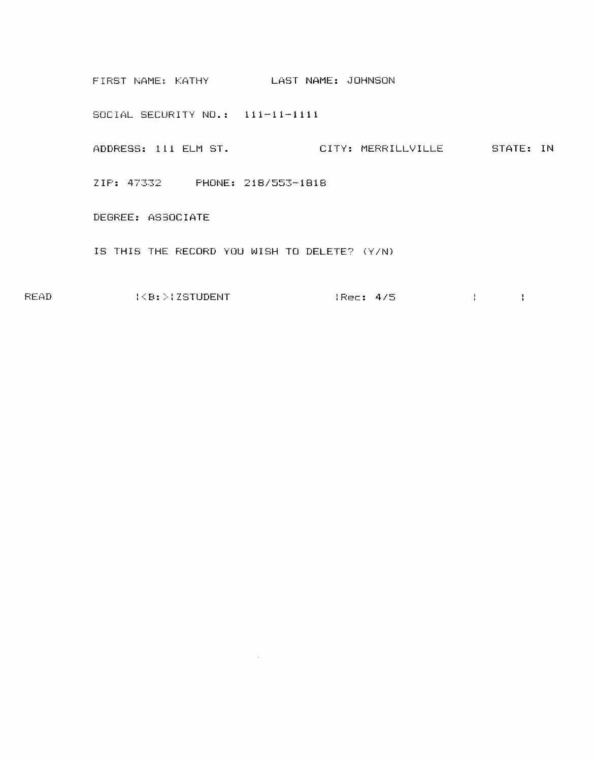FIRST NAME: KATHY LAST NAME: JOHNSON SOCIAL SECURITY NO.: 111-11-1111 ADDRESS: 111 ELM ST. CITY: MERRILLVILLE STATE: IN ZIP: 47332 PHONE: *218/553-1818*  DEGREE: AS30CIATE IS THIS THE RECORD YOU WISH TO DELETE? (YIN)

READ :<B:>:ZSTUDENT :Rec: *4/5* 

 $\sim 10^7$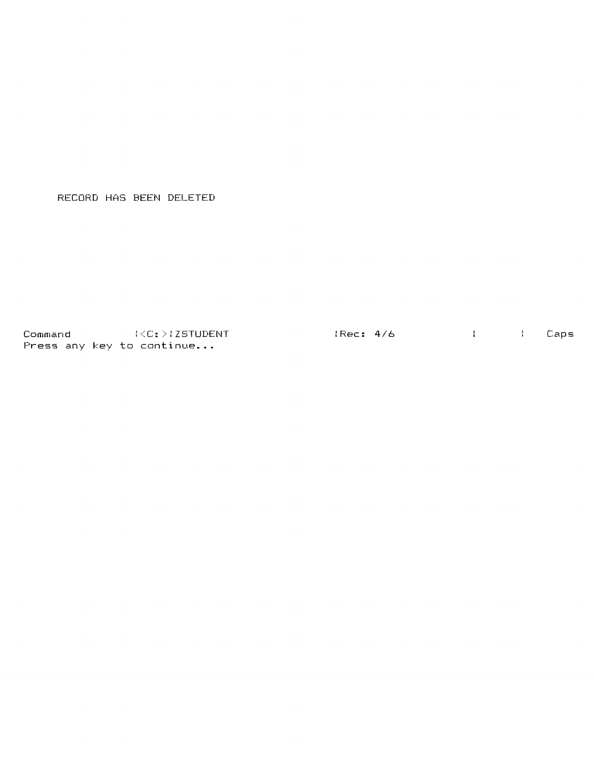RECORD HAS BEEN DELETED

Command :<C:):ZSTUDENT :Rec: *4/6* Caps Press any key to continue...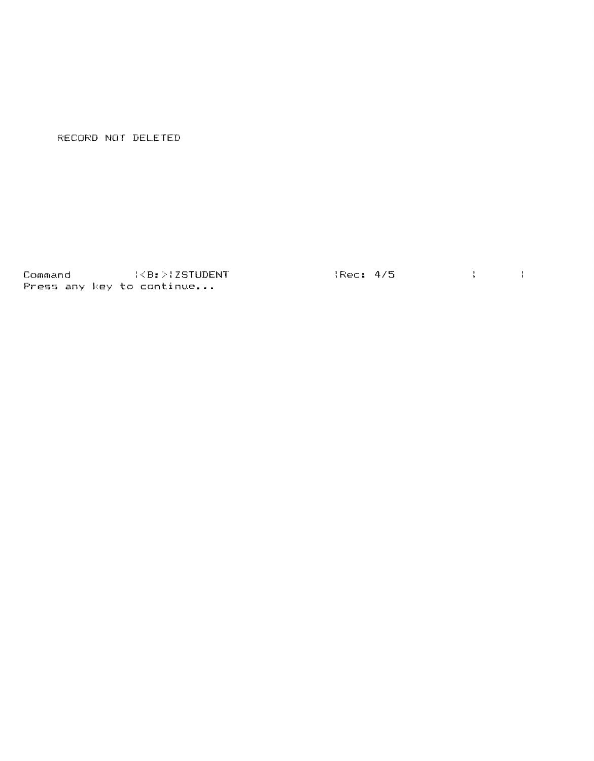RECORD NOT DELETED

Command :<B:>:ZSTUDENT :Rec: 4/5 Press any key to continue ...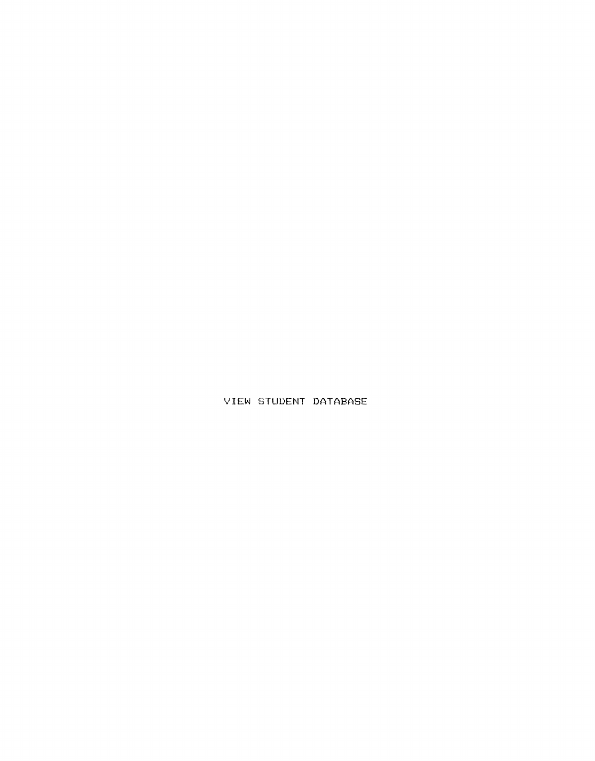VIEW STUDENT DATABASE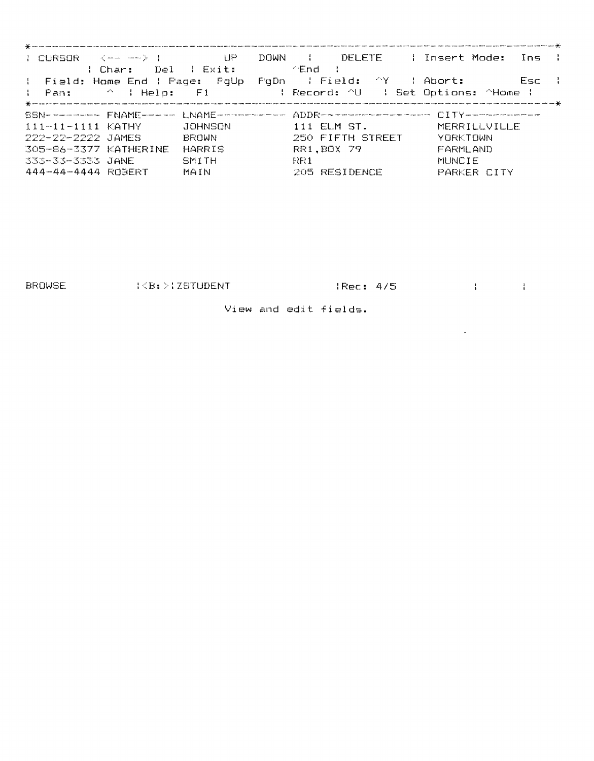| $\downarrow$ CURSOR $\langle$ -- --> $\downarrow$ UP                                                            |              |                          | DOWN : DELETE : Insert Mode: Ins : |
|-----------------------------------------------------------------------------------------------------------------|--------------|--------------------------|------------------------------------|
| : Char: Del : Exit:       ^End :<br>: Field: Home End : Page: PgUp PgDn : Field: ^Y : Abort: Esc :              |              |                          |                                    |
|                                                                                                                 |              |                          |                                    |
| The Pan: The Panel of the Life of the Panel of the Panel (1990) is the Panel of the Panel of the Panel of the P |              |                          |                                    |
|                                                                                                                 |              |                          |                                    |
| SSN--------- FNAME----- LNAME---------- ADDR-------------- CITY---------                                        |              |                          |                                    |
| $111 - 11 - 1111$ KATHY $JOHNSON$                                                                               |              | 111 ELM ST. MERRILLVILLE |                                    |
| 222-22-2222 JAMES                                                                                               | <b>BROWN</b> | 250 FIFTH STREET         | YORKTOWN                           |
| 305-86-3377 KATHERINE                                                                                           | HARRIS       | RR1.BOX 79               | FARMLAND                           |
| 333-33-3333 JANE                                                                                                | SMITH        | -FCF 1                   | MUNCIE                             |
|                                                                                                                 |              |                          |                                    |
| 444-44-4444 ROBERT<br>MAIN                                                                                      |              | 205 RESIDENCE            | PARKER CITY                        |

BROWSE (<B:>1ZSTUDENT (Rec: 4/5) {

 $\mathcal{L}^{\text{max}}_{\text{max}}$  , where  $\mathcal{L}^{\text{max}}_{\text{max}}$ 

View and edit fields.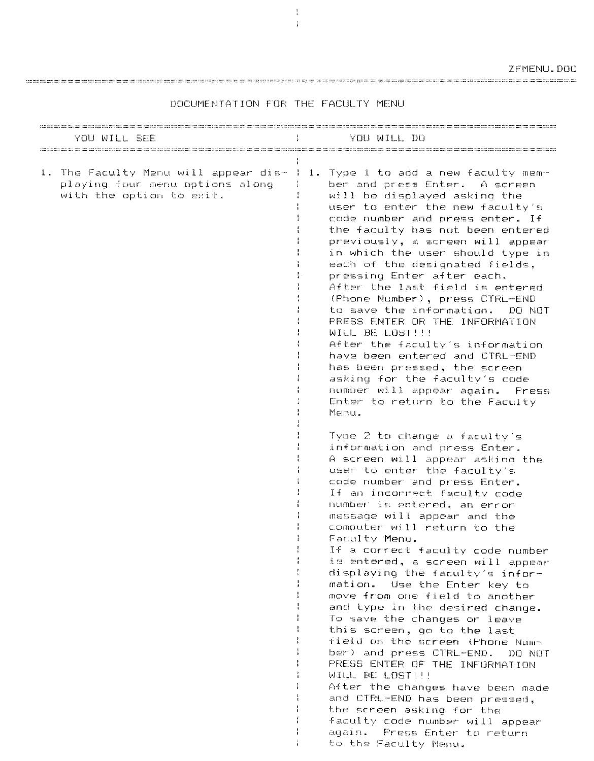DOCUMENTATION FOR THE FACULTY MENU

 $\frac{1}{4}$  $\frac{1}{3}$ 

| YOU WILL SEE                                                                                        | YOU WILL DO                                                                                                                                                                                                                                                                                                                                                                                                                                                                                                                                                                                                                                                                                                                             |
|-----------------------------------------------------------------------------------------------------|-----------------------------------------------------------------------------------------------------------------------------------------------------------------------------------------------------------------------------------------------------------------------------------------------------------------------------------------------------------------------------------------------------------------------------------------------------------------------------------------------------------------------------------------------------------------------------------------------------------------------------------------------------------------------------------------------------------------------------------------|
|                                                                                                     |                                                                                                                                                                                                                                                                                                                                                                                                                                                                                                                                                                                                                                                                                                                                         |
| 1. The Faculty Menu will appear dis-<br>playing four menu options along<br>with the option to exit. | 1. Type 1 to add a new faculty mem-<br>ber and press Enter. A screen<br>will be displayed asking the<br>user to enter the new faculty's<br>code number and press enter. If<br>the faculty has not been entered<br>previously, a screen will appear<br>in which the user should type in<br>each of the designated fields,<br>pressing Enter after each.<br>After the last field is entered<br>(Phone Number), press CTRL-END<br>to save the information. DO NOT<br>PRESS ENTER OR THE INFORMATION<br>WILL BE LOST!!!<br>After the faculty's information<br>have been entered and CTRL-END<br>has been pressed, the screen<br>asking for the faculty's code<br>number will appear again. Press<br>Enter to return to the Faculty<br>Menu. |
|                                                                                                     | Type 2 to change a faculty's<br>information and press Enter.<br>A screen will appear asking the<br>user to enter the faculty's<br>code number and press Enter.<br>If an incorrect faculty code<br>number is entered, an error<br>message will appear and the<br>computer will return to the<br>Faculty Menu.<br>If a correct faculty code number<br>is entered, a screen will appear<br>displaying the faculty's infor-<br>mation. Use the Enter key to<br>move from one field to another<br>and type in the desired change.<br>To save the changes or leave<br>this screen, go to the last<br>field on the screen (Phone Num-<br>ber) and press CTRL-END. DO NOT                                                                       |
|                                                                                                     | PRESS ENTER OF THE INFORMATION<br>WILL BE LOST!!!<br>After the changes have been made<br>and CTRL-END has been pressed.<br>the screen asking for the<br>faculty code number will appear<br>again.<br>Press Enter to return<br>to the Faculty Menu.                                                                                                                                                                                                                                                                                                                                                                                                                                                                                      |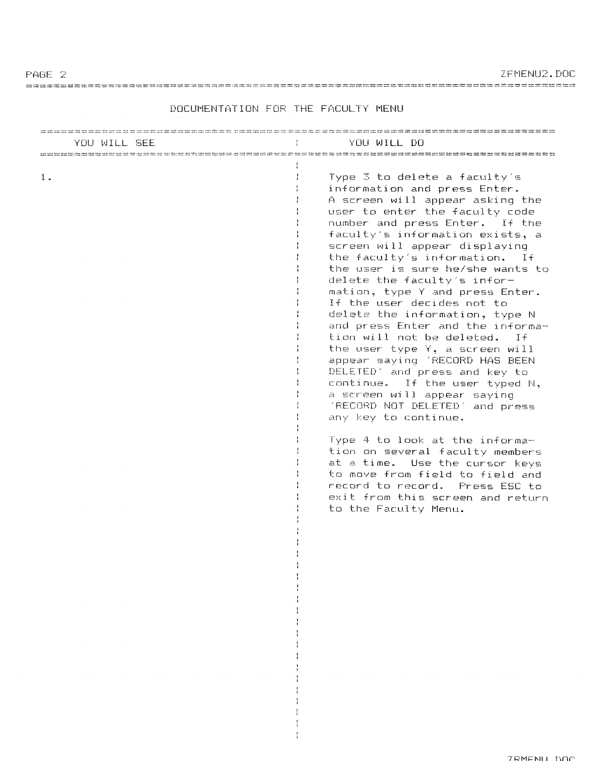ZFMENU2.DOC

| YOU WILL SEE | YOU WILL DO                                                                                                                                                                                                                                                                                                                                                                                                                                                                                                                                                                                                                                                                                                                                                                                                                                                                                                                                                                                                                                                                                              |
|--------------|----------------------------------------------------------------------------------------------------------------------------------------------------------------------------------------------------------------------------------------------------------------------------------------------------------------------------------------------------------------------------------------------------------------------------------------------------------------------------------------------------------------------------------------------------------------------------------------------------------------------------------------------------------------------------------------------------------------------------------------------------------------------------------------------------------------------------------------------------------------------------------------------------------------------------------------------------------------------------------------------------------------------------------------------------------------------------------------------------------|
| 1.           | and the second contract was not the second that was described and contract the second second second second<br>Type 3 to delete a faculty's<br>information and press Enter.<br>A screen will appear asking the<br>user to enter the faculty code<br>number and press Enter. If the<br>faculty's information exists, a<br>screen will appear displaying<br>the faculty's information. If<br>the user is sure he/she wants to<br>delete the faculty's infor-<br>mation, type Y and press Enter.<br>If the user decides not to<br>delete the information, type N<br>and press Enter and the informa-<br>tion will not be deleted. If<br>the user type Y, a screen will<br>appear saying 'RECORD HAS BEEN<br>DELETED' and press and key to<br>continue. If the user typed N,<br>a screen will appear saying<br>'RECORD NOT DELETED' and press<br>any key to continue.<br>Type 4 to look at the informa-<br>tion on several faculty members<br>at a time. Use the cursor keys<br>to move from field to field and<br>record to record. Press ESC to<br>exit from this screen and return<br>to the Faculty Menu. |

 $\mathbf{I}$  $\frac{1}{4}$  $\frac{1}{4}$  $\frac{1}{4}$  $\frac{1}{4}$ 

# DOCUMENTATION FOR THE FACULTY MENU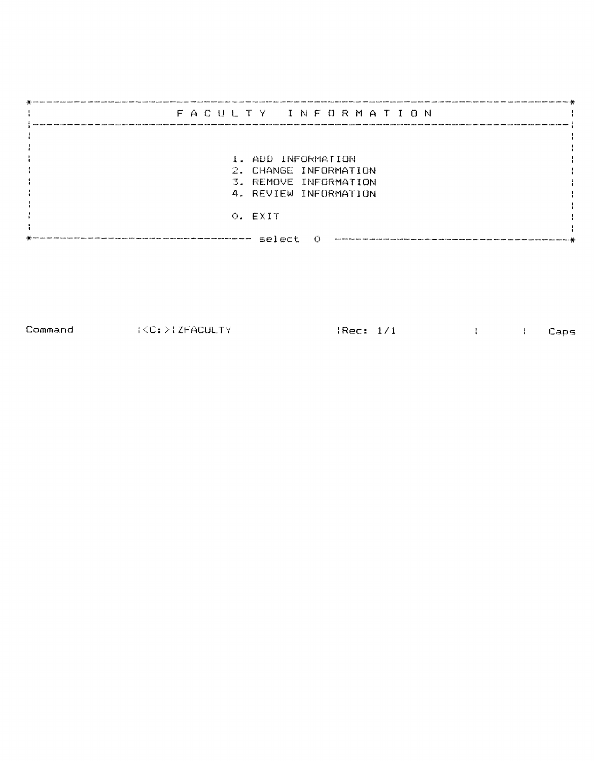| FACULTY INFORMATION                            |  |
|------------------------------------------------|--|
|                                                |  |
| 1. ADD INFORMATION                             |  |
| 2. CHANGE INFORMATION<br>3. REMOVE INFORMATION |  |
| 4. REVIEW INFORMATION                          |  |
| O. EXIT                                        |  |
| select                                         |  |

Command : <C: :>: ZFACULTY : Rec: 1; 1 Caps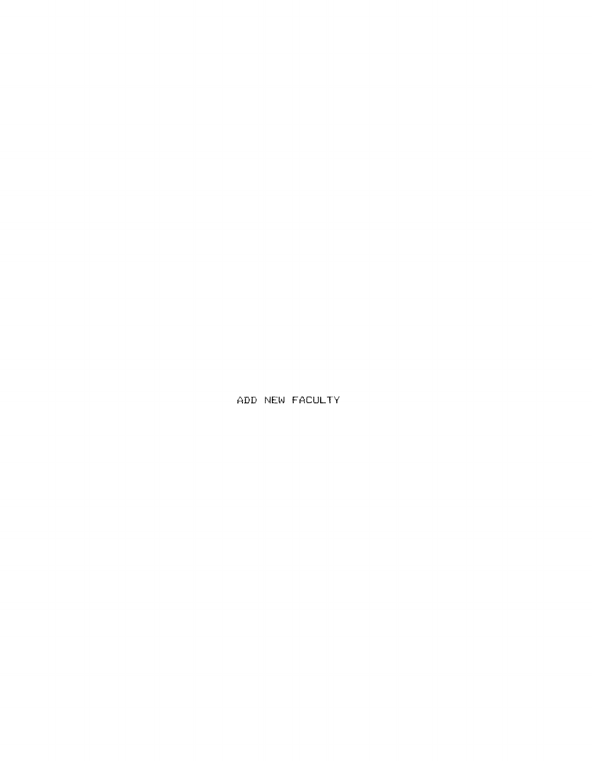ADD NEW FACULTY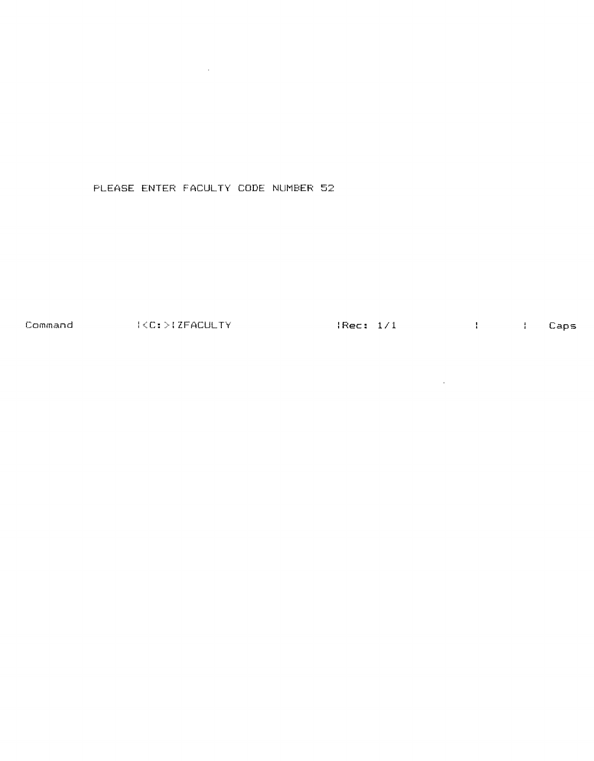PLEASE ENTER FACULTY CODE NUMBER 52

 $\mathcal{L}^{\mathcal{L}}(\mathcal{L}^{\mathcal{L}})$  . The contribution of  $\mathcal{L}^{\mathcal{L}}(\mathcal{L}^{\mathcal{L}})$ 

Command : {C:>{ZFACULTY : {Rec: 1/1}} { Caps

 $\mathcal{L}^{\text{max}}_{\text{max}}$  and  $\mathcal{L}^{\text{max}}_{\text{max}}$